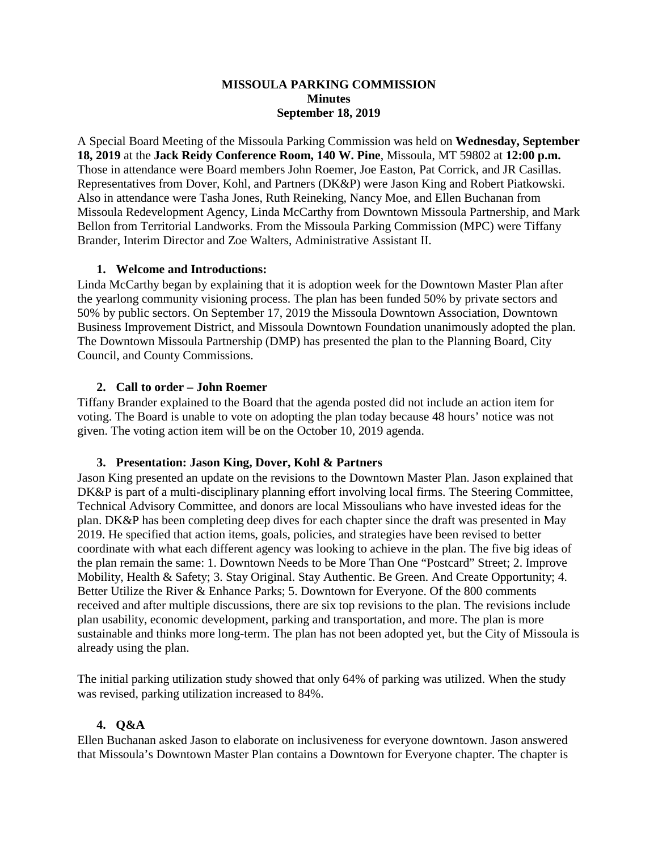## **MISSOULA PARKING COMMISSION Minutes September 18, 2019**

A Special Board Meeting of the Missoula Parking Commission was held on **Wednesday, September 18, 2019** at the **Jack Reidy Conference Room, 140 W. Pine**, Missoula, MT 59802 at **12:00 p.m.** Those in attendance were Board members John Roemer, Joe Easton, Pat Corrick, and JR Casillas. Representatives from Dover, Kohl, and Partners (DK&P) were Jason King and Robert Piatkowski. Also in attendance were Tasha Jones, Ruth Reineking, Nancy Moe, and Ellen Buchanan from Missoula Redevelopment Agency, Linda McCarthy from Downtown Missoula Partnership, and Mark Bellon from Territorial Landworks. From the Missoula Parking Commission (MPC) were Tiffany Brander, Interim Director and Zoe Walters, Administrative Assistant II.

## **1. Welcome and Introductions:**

Linda McCarthy began by explaining that it is adoption week for the Downtown Master Plan after the yearlong community visioning process. The plan has been funded 50% by private sectors and 50% by public sectors. On September 17, 2019 the Missoula Downtown Association, Downtown Business Improvement District, and Missoula Downtown Foundation unanimously adopted the plan. The Downtown Missoula Partnership (DMP) has presented the plan to the Planning Board, City Council, and County Commissions.

## **2. Call to order – John Roemer**

Tiffany Brander explained to the Board that the agenda posted did not include an action item for voting. The Board is unable to vote on adopting the plan today because 48 hours' notice was not given. The voting action item will be on the October 10, 2019 agenda.

#### **3. Presentation: Jason King, Dover, Kohl & Partners**

Jason King presented an update on the revisions to the Downtown Master Plan. Jason explained that DK&P is part of a multi-disciplinary planning effort involving local firms. The Steering Committee, Technical Advisory Committee, and donors are local Missoulians who have invested ideas for the plan. DK&P has been completing deep dives for each chapter since the draft was presented in May 2019. He specified that action items, goals, policies, and strategies have been revised to better coordinate with what each different agency was looking to achieve in the plan. The five big ideas of the plan remain the same: 1. Downtown Needs to be More Than One "Postcard" Street; 2. Improve Mobility, Health & Safety; 3. Stay Original. Stay Authentic. Be Green. And Create Opportunity; 4. Better Utilize the River & Enhance Parks; 5. Downtown for Everyone. Of the 800 comments received and after multiple discussions, there are six top revisions to the plan. The revisions include plan usability, economic development, parking and transportation, and more. The plan is more sustainable and thinks more long-term. The plan has not been adopted yet, but the City of Missoula is already using the plan.

The initial parking utilization study showed that only 64% of parking was utilized. When the study was revised, parking utilization increased to 84%.

# **4. Q&A**

Ellen Buchanan asked Jason to elaborate on inclusiveness for everyone downtown. Jason answered that Missoula's Downtown Master Plan contains a Downtown for Everyone chapter. The chapter is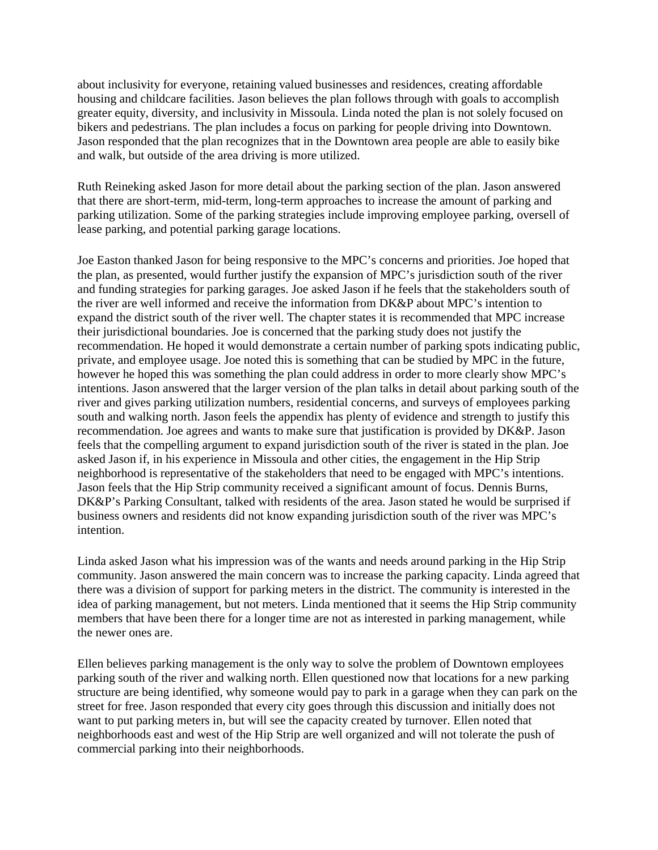about inclusivity for everyone, retaining valued businesses and residences, creating affordable housing and childcare facilities. Jason believes the plan follows through with goals to accomplish greater equity, diversity, and inclusivity in Missoula. Linda noted the plan is not solely focused on bikers and pedestrians. The plan includes a focus on parking for people driving into Downtown. Jason responded that the plan recognizes that in the Downtown area people are able to easily bike and walk, but outside of the area driving is more utilized.

Ruth Reineking asked Jason for more detail about the parking section of the plan. Jason answered that there are short-term, mid-term, long-term approaches to increase the amount of parking and parking utilization. Some of the parking strategies include improving employee parking, oversell of lease parking, and potential parking garage locations.

Joe Easton thanked Jason for being responsive to the MPC's concerns and priorities. Joe hoped that the plan, as presented, would further justify the expansion of MPC's jurisdiction south of the river and funding strategies for parking garages. Joe asked Jason if he feels that the stakeholders south of the river are well informed and receive the information from DK&P about MPC's intention to expand the district south of the river well. The chapter states it is recommended that MPC increase their jurisdictional boundaries. Joe is concerned that the parking study does not justify the recommendation. He hoped it would demonstrate a certain number of parking spots indicating public, private, and employee usage. Joe noted this is something that can be studied by MPC in the future, however he hoped this was something the plan could address in order to more clearly show MPC's intentions. Jason answered that the larger version of the plan talks in detail about parking south of the river and gives parking utilization numbers, residential concerns, and surveys of employees parking south and walking north. Jason feels the appendix has plenty of evidence and strength to justify this recommendation. Joe agrees and wants to make sure that justification is provided by DK&P. Jason feels that the compelling argument to expand jurisdiction south of the river is stated in the plan. Joe asked Jason if, in his experience in Missoula and other cities, the engagement in the Hip Strip neighborhood is representative of the stakeholders that need to be engaged with MPC's intentions. Jason feels that the Hip Strip community received a significant amount of focus. Dennis Burns, DK&P's Parking Consultant, talked with residents of the area. Jason stated he would be surprised if business owners and residents did not know expanding jurisdiction south of the river was MPC's intention.

Linda asked Jason what his impression was of the wants and needs around parking in the Hip Strip community. Jason answered the main concern was to increase the parking capacity. Linda agreed that there was a division of support for parking meters in the district. The community is interested in the idea of parking management, but not meters. Linda mentioned that it seems the Hip Strip community members that have been there for a longer time are not as interested in parking management, while the newer ones are.

Ellen believes parking management is the only way to solve the problem of Downtown employees parking south of the river and walking north. Ellen questioned now that locations for a new parking structure are being identified, why someone would pay to park in a garage when they can park on the street for free. Jason responded that every city goes through this discussion and initially does not want to put parking meters in, but will see the capacity created by turnover. Ellen noted that neighborhoods east and west of the Hip Strip are well organized and will not tolerate the push of commercial parking into their neighborhoods.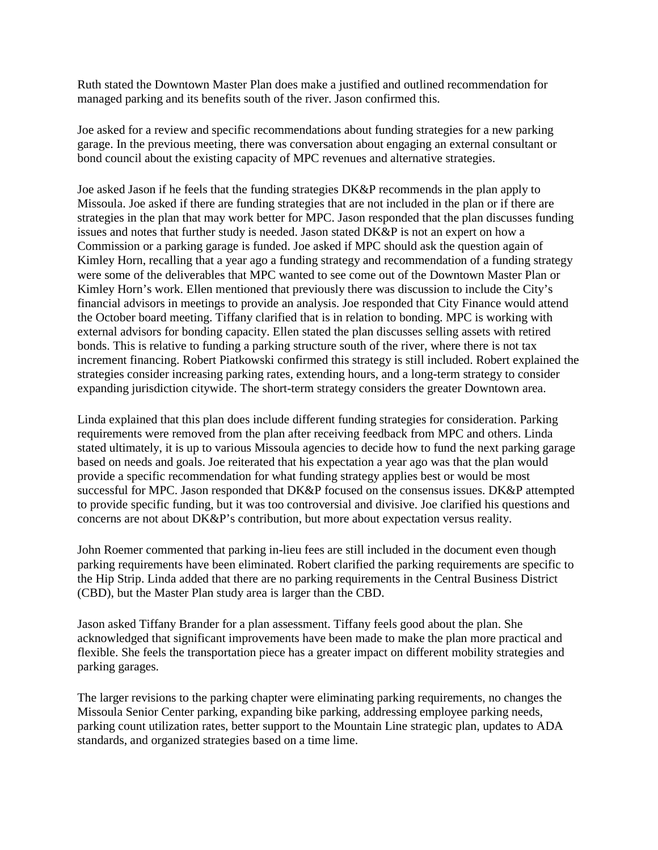Ruth stated the Downtown Master Plan does make a justified and outlined recommendation for managed parking and its benefits south of the river. Jason confirmed this.

Joe asked for a review and specific recommendations about funding strategies for a new parking garage. In the previous meeting, there was conversation about engaging an external consultant or bond council about the existing capacity of MPC revenues and alternative strategies.

Joe asked Jason if he feels that the funding strategies DK&P recommends in the plan apply to Missoula. Joe asked if there are funding strategies that are not included in the plan or if there are strategies in the plan that may work better for MPC. Jason responded that the plan discusses funding issues and notes that further study is needed. Jason stated DK&P is not an expert on how a Commission or a parking garage is funded. Joe asked if MPC should ask the question again of Kimley Horn, recalling that a year ago a funding strategy and recommendation of a funding strategy were some of the deliverables that MPC wanted to see come out of the Downtown Master Plan or Kimley Horn's work. Ellen mentioned that previously there was discussion to include the City's financial advisors in meetings to provide an analysis. Joe responded that City Finance would attend the October board meeting. Tiffany clarified that is in relation to bonding. MPC is working with external advisors for bonding capacity. Ellen stated the plan discusses selling assets with retired bonds. This is relative to funding a parking structure south of the river, where there is not tax increment financing. Robert Piatkowski confirmed this strategy is still included. Robert explained the strategies consider increasing parking rates, extending hours, and a long-term strategy to consider expanding jurisdiction citywide. The short-term strategy considers the greater Downtown area.

Linda explained that this plan does include different funding strategies for consideration. Parking requirements were removed from the plan after receiving feedback from MPC and others. Linda stated ultimately, it is up to various Missoula agencies to decide how to fund the next parking garage based on needs and goals. Joe reiterated that his expectation a year ago was that the plan would provide a specific recommendation for what funding strategy applies best or would be most successful for MPC. Jason responded that DK&P focused on the consensus issues. DK&P attempted to provide specific funding, but it was too controversial and divisive. Joe clarified his questions and concerns are not about DK&P's contribution, but more about expectation versus reality.

John Roemer commented that parking in-lieu fees are still included in the document even though parking requirements have been eliminated. Robert clarified the parking requirements are specific to the Hip Strip. Linda added that there are no parking requirements in the Central Business District (CBD), but the Master Plan study area is larger than the CBD.

Jason asked Tiffany Brander for a plan assessment. Tiffany feels good about the plan. She acknowledged that significant improvements have been made to make the plan more practical and flexible. She feels the transportation piece has a greater impact on different mobility strategies and parking garages.

The larger revisions to the parking chapter were eliminating parking requirements, no changes the Missoula Senior Center parking, expanding bike parking, addressing employee parking needs, parking count utilization rates, better support to the Mountain Line strategic plan, updates to ADA standards, and organized strategies based on a time lime.